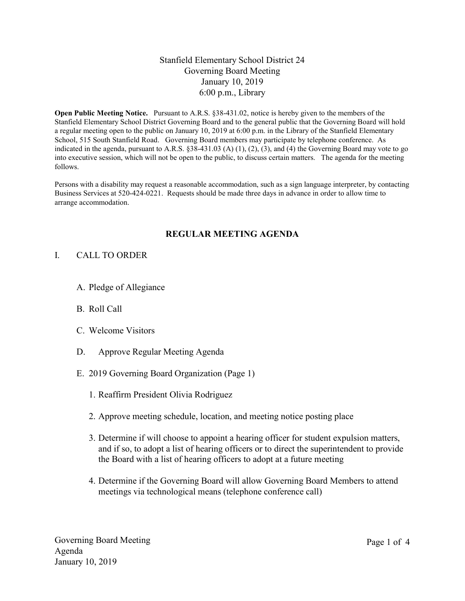# Stanfield Elementary School District 24 Governing Board Meeting January 10, 2019 6:00 p.m., Library

Open Public Meeting Notice. Pursuant to A.R.S. §38-431.02, notice is hereby given to the members of the Stanfield Elementary School District Governing Board and to the general public that the Governing Board will hold a regular meeting open to the public on January 10, 2019 at 6:00 p.m. in the Library of the Stanfield Elementary School, 515 South Stanfield Road. Governing Board members may participate by telephone conference. As indicated in the agenda, pursuant to A.R.S. §38-431.03 (A) (1), (2), (3), and (4) the Governing Board may vote to go into executive session, which will not be open to the public, to discuss certain matters. The agenda for the meeting follows.

Persons with a disability may request a reasonable accommodation, such as a sign language interpreter, by contacting Business Services at 520-424-0221. Requests should be made three days in advance in order to allow time to arrange accommodation.

#### REGULAR MEETING AGENDA

#### I. CALL TO ORDER

- A. Pledge of Allegiance
- B. Roll Call
- C. Welcome Visitors
- D. Approve Regular Meeting Agenda
- E. 2019 Governing Board Organization (Page 1)
	- 1. Reaffirm President Olivia Rodriguez
	- 2. Approve meeting schedule, location, and meeting notice posting place
	- 3. Determine if will choose to appoint a hearing officer for student expulsion matters, and if so, to adopt a list of hearing officers or to direct the superintendent to provide the Board with a list of hearing officers to adopt at a future meeting
	- 4. Determine if the Governing Board will allow Governing Board Members to attend meetings via technological means (telephone conference call)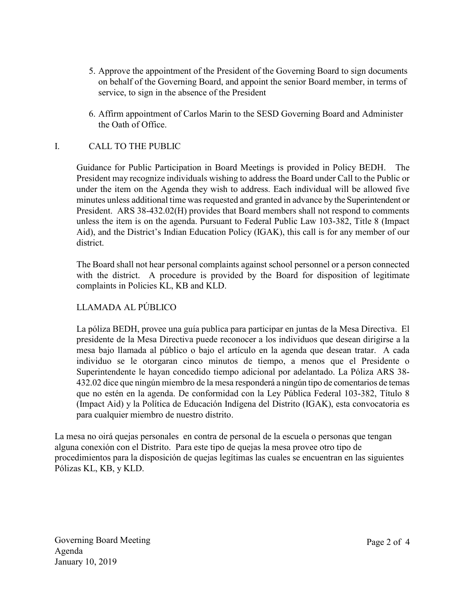- 5. Approve the appointment of the President of the Governing Board to sign documents on behalf of the Governing Board, and appoint the senior Board member, in terms of service, to sign in the absence of the President
- 6. Affirm appointment of Carlos Marin to the SESD Governing Board and Administer the Oath of Office.

# I. CALL TO THE PUBLIC

Guidance for Public Participation in Board Meetings is provided in Policy BEDH. The President may recognize individuals wishing to address the Board under Call to the Public or under the item on the Agenda they wish to address. Each individual will be allowed five minutes unless additional time was requested and granted in advance by the Superintendent or President. ARS 38-432.02(H) provides that Board members shall not respond to comments unless the item is on the agenda. Pursuant to Federal Public Law 103-382, Title 8 (Impact Aid), and the District's Indian Education Policy (IGAK), this call is for any member of our district.

The Board shall not hear personal complaints against school personnel or a person connected with the district. A procedure is provided by the Board for disposition of legitimate complaints in Policies KL, KB and KLD.

# LLAMADA AL PÚBLICO

La póliza BEDH, provee una guía publica para participar en juntas de la Mesa Directiva. El presidente de la Mesa Directiva puede reconocer a los individuos que desean dirigirse a la mesa bajo llamada al público o bajo el artículo en la agenda que desean tratar. A cada individuo se le otorgaran cinco minutos de tiempo, a menos que el Presidente o Superintendente le hayan concedido tiempo adicional por adelantado. La Póliza ARS 38- 432.02 dice que ningún miembro de la mesa responderá a ningún tipo de comentarios de temas que no estén en la agenda. De conformidad con la Ley Pública Federal 103-382, Título 8 (Impact Aid) y la Política de Educación Indígena del Distrito (IGAK), esta convocatoria es para cualquier miembro de nuestro distrito.

La mesa no oirá quejas personales en contra de personal de la escuela o personas que tengan alguna conexión con el Distrito. Para este tipo de quejas la mesa provee otro tipo de procedimientos para la disposición de quejas legítimas las cuales se encuentran en las siguientes Pólizas KL, KB, y KLD.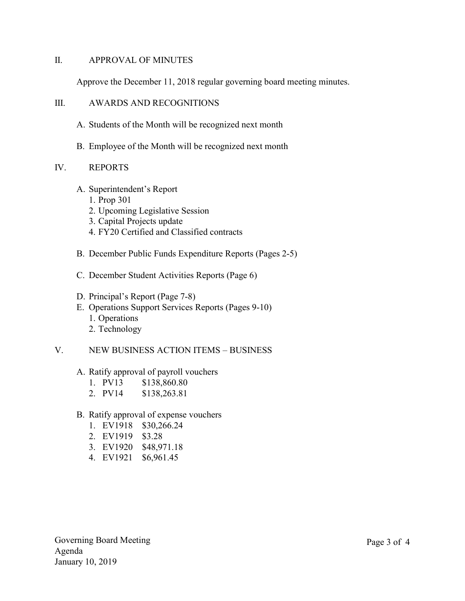## II. APPROVAL OF MINUTES

Approve the December 11, 2018 regular governing board meeting minutes.

### III. AWARDS AND RECOGNITIONS

- A. Students of the Month will be recognized next month
- B. Employee of the Month will be recognized next month

## IV. REPORTS

- A. Superintendent's Report
	- 1. Prop 301
	- 2. Upcoming Legislative Session
	- 3. Capital Projects update
	- 4. FY20 Certified and Classified contracts
- B. December Public Funds Expenditure Reports (Pages 2-5)
- C. December Student Activities Reports (Page 6)
- D. Principal's Report (Page 7-8)
- E. Operations Support Services Reports (Pages 9-10) 1. Operations 2. Technology
- V. NEW BUSINESS ACTION ITEMS BUSINESS

#### A. Ratify approval of payroll vouchers

- 1. PV13 \$138,860.80
- 2. PV14 \$138,263.81
- B. Ratify approval of expense vouchers
	- 1. EV1918 \$30,266.24
	- 2. EV1919 \$3.28
	- 3. EV1920 \$48,971.18
	- 4. EV1921 \$6,961.45